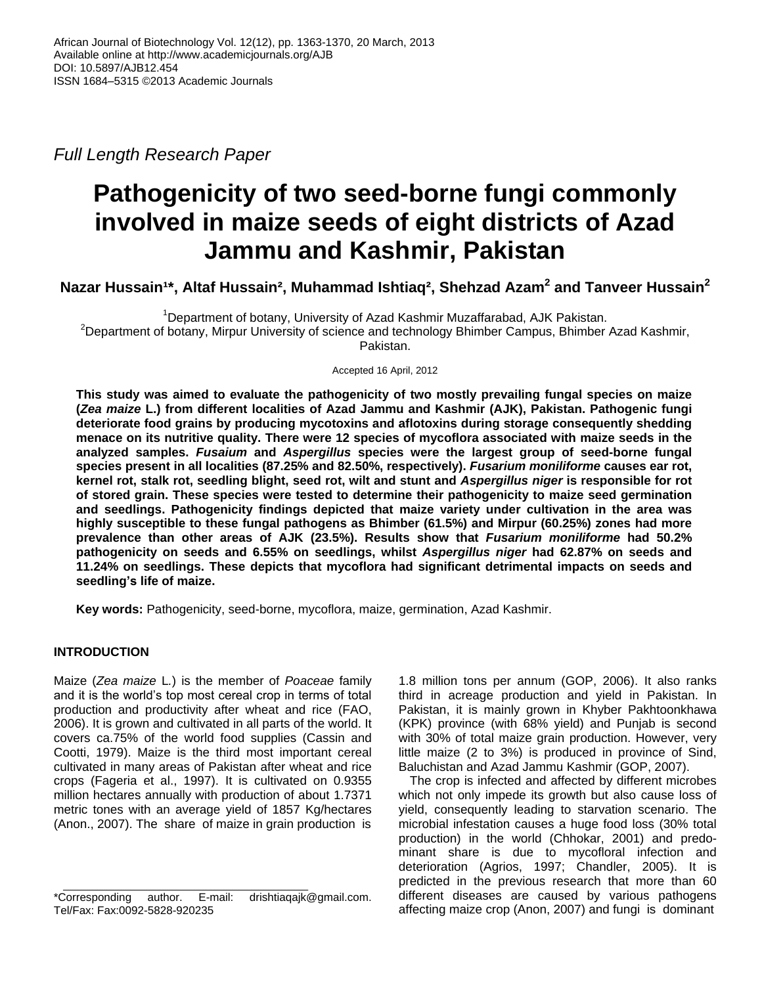*Full Length Research Paper*

# **Pathogenicity of two seed-borne fungi commonly involved in maize seeds of eight districts of Azad Jammu and Kashmir, Pakistan**

 $N$ azar Hussain $1^\star$ , Altaf Hussain $^2$ , Muhammad Ishtiaq $^2$ , Shehzad Azam $^2$  and Tanveer Hussain $^2$ 

<sup>1</sup>Department of botany, University of Azad Kashmir Muzaffarabad, AJK Pakistan. <sup>2</sup>Department of botany, Mirpur University of science and technology Bhimber Campus, Bhimber Azad Kashmir, Pakistan.

Accepted 16 April, 2012

**This study was aimed to evaluate the pathogenicity of two mostly prevailing fungal species on maize (***Zea maize* **L.) from different localities of Azad Jammu and Kashmir (AJK), Pakistan. Pathogenic fungi deteriorate food grains by producing mycotoxins and aflotoxins during storage consequently shedding menace on its nutritive quality. There were 12 species of mycoflora associated with maize seeds in the analyzed samples.** *Fusaium* **and** *Aspergillus* **species were the largest group of seed-borne fungal species present in all localities (87.25% and 82.50%, respectively).** *Fusarium moniliforme* **causes ear rot, kernel rot, stalk rot, seedling blight, seed rot, wilt and stunt and** *Aspergillus niger* **is responsible for rot of stored grain. These species were tested to determine their pathogenicity to maize seed germination and seedlings. Pathogenicity findings depicted that maize variety under cultivation in the area was highly susceptible to these fungal pathogens as Bhimber (61.5%) and Mirpur (60.25%) zones had more prevalence than other areas of AJK (23.5%). Results show that** *Fusarium moniliforme* **had 50.2% pathogenicity on seeds and 6.55% on seedlings, whilst** *Aspergillus niger* **had 62.87% on seeds and 11.24% on seedlings. These depicts that mycoflora had significant detrimental impacts on seeds and seedling's life of maize.**

**Key words:** Pathogenicity, seed-borne, mycoflora, maize, germination, Azad Kashmir.

## **INTRODUCTION**

Maize (*Zea maize* L*.*) is the member of *Poaceae* family and it is the world's top most cereal crop in terms of total production and productivity after wheat and rice (FAO, 2006). It is grown and cultivated in all parts of the world. It covers ca.75% of the world food supplies (Cassin and Cootti, 1979). Maize is the third most important cereal cultivated in many areas of Pakistan after wheat and rice crops (Fageria et al., 1997). It is cultivated on 0.9355 million hectares annually with production of about 1.7371 metric tones with an average yield of 1857 Kg/hectares (Anon., 2007). The share of maize in grain production is 1.8 million tons per annum (GOP, 2006). It also ranks third in acreage production and yield in Pakistan. In Pakistan, it is mainly grown in Khyber Pakhtoonkhawa (KPK) province (with 68% yield) and Punjab is second with 30% of total maize grain production. However, very little maize (2 to 3%) is produced in province of Sind, Baluchistan and Azad Jammu Kashmir (GOP, 2007).

The crop is infected and affected by different microbes which not only impede its growth but also cause loss of yield, consequently leading to starvation scenario. The microbial infestation causes a huge food loss (30% total production) in the world (Chhokar, 2001) and predominant share is due to mycofloral infection and deterioration (Agrios, 1997; Chandler, 2005). It is predicted in the previous research that more than 60 different diseases are caused by various pathogens affecting maize crop (Anon, 2007) and fungi is dominant

<sup>\*</sup>Corresponding author. E-mail: drishtiaqajk@gmail.com. Tel/Fax: Fax:0092-5828-920235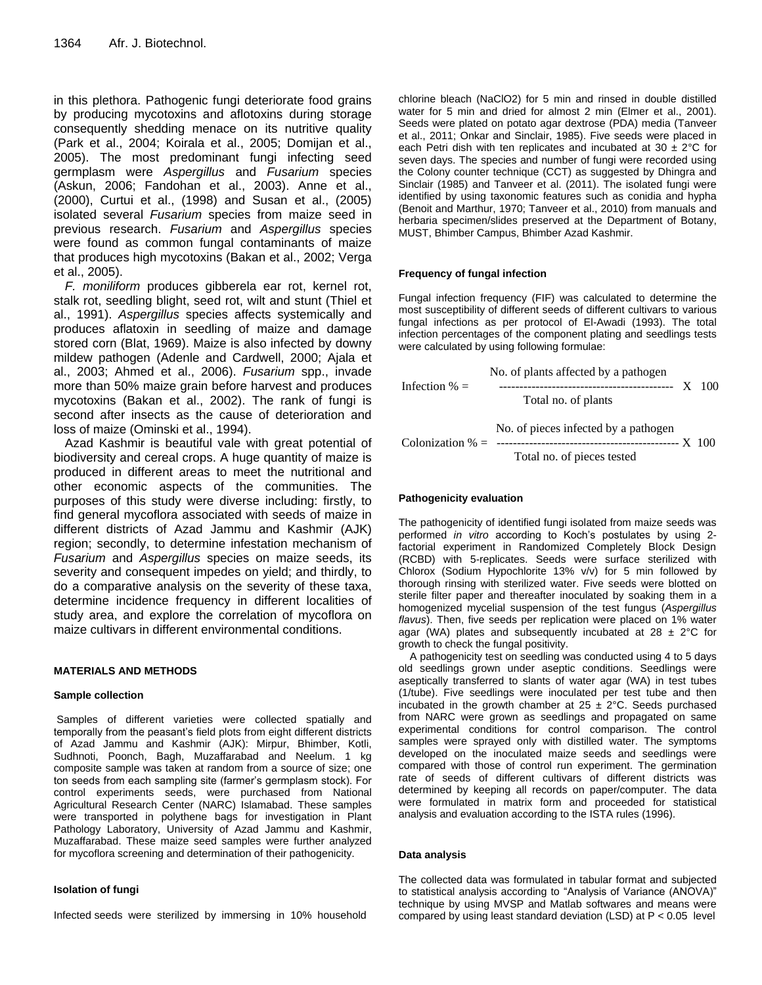in this plethora. Pathogenic fungi deteriorate food grains by producing mycotoxins and aflotoxins during storage consequently shedding menace on its nutritive quality (Park et al., 2004; Koirala et al., 2005; Domijan et al., 2005). The most predominant fungi infecting seed germplasm were *Aspergillus* and *Fusarium* species (Askun, 2006; Fandohan et al., 2003). Anne et al., (2000), Curtui et al., (1998) and Susan et al., (2005) isolated several *Fusarium* species from maize seed in previous research. *Fusarium* and *Aspergillus* species were found as common fungal contaminants of maize that produces high mycotoxins (Bakan et al., 2002; Verga et al., 2005).

*F. moniliform* produces gibberela ear rot, kernel rot, stalk rot, seedling blight, seed rot, wilt and stunt (Thiel et al., 1991). *Aspergillus* species affects systemically and produces aflatoxin in seedling of maize and damage stored corn (Blat, 1969). Maize is also infected by downy mildew pathogen (Adenle and Cardwell, 2000; Ajala et al., 2003; Ahmed et al., 2006). *Fusarium* spp., invade more than 50% maize grain before harvest and produces mycotoxins (Bakan et al., 2002). The rank of fungi is second after insects as the cause of deterioration and loss of maize (Ominski et al., 1994).

Azad Kashmir is beautiful vale with great potential of biodiversity and cereal crops. A huge quantity of maize is produced in different areas to meet the nutritional and other economic aspects of the communities. The purposes of this study were diverse including: firstly, to find general mycoflora associated with seeds of maize in different districts of Azad Jammu and Kashmir (AJK) region; secondly, to determine infestation mechanism of *Fusarium* and *Aspergillus* species on maize seeds, its severity and consequent impedes on yield; and thirdly, to do a comparative analysis on the severity of these taxa, determine incidence frequency in different localities of study area, and explore the correlation of mycoflora on maize cultivars in different environmental conditions.

### **MATERIALS AND METHODS**

#### **Sample collection**

Samples of different varieties were collected spatially and temporally from the peasant's field plots from eight different districts of Azad Jammu and Kashmir (AJK): Mirpur, Bhimber, Kotli, Sudhnoti, Poonch, Bagh, Muzaffarabad and Neelum. 1 kg composite sample was taken at random from a source of size; one ton seeds from each sampling site (farmer's germplasm stock). For control experiments seeds, were purchased from National Agricultural Research Center (NARC) Islamabad. These samples were transported in polythene bags for investigation in Plant Pathology Laboratory, University of Azad Jammu and Kashmir, Muzaffarabad. These maize seed samples were further analyzed for mycoflora screening and determination of their pathogenicity.

#### **Isolation of fungi**

Infected seeds were sterilized by immersing in 10% household

chlorine bleach (NaClO2) for 5 min and rinsed in double distilled water for 5 min and dried for almost 2 min (Elmer et al., 2001). Seeds were plated on potato agar dextrose (PDA) media (Tanveer et al., 2011; Onkar and Sinclair, 1985). Five seeds were placed in each Petri dish with ten replicates and incubated at 30  $\pm$  2°C for seven days. The species and number of fungi were recorded using the Colony counter technique (CCT) as suggested by Dhingra and Sinclair (1985) and Tanveer et al. (2011). The isolated fungi were identified by using taxonomic features such as conidia and hypha (Benoit and Marthur, 1970; Tanveer et al., 2010) from manuals and herbaria specimen/slides preserved at the Department of Botany, MUST, Bhimber Campus, Bhimber Azad Kashmir.

#### **Frequency of fungal infection**

Fungal infection frequency (FIF) was calculated to determine the most susceptibility of different seeds of different cultivars to various fungal infections as per protocol of El-Awadi (1993). The total infection percentages of the component plating and seedlings tests were calculated by using following formulae:

 No. of plants affected by a pathogen Infection % = ------------------------------------------- X 100 Total no. of plants No. of pieces infected by a pathogen Colonization % = --------------------------------------------- X 100 Total no. of pieces tested

#### **Pathogenicity evaluation**

The pathogenicity of identified fungi isolated from maize seeds was performed *in vitro* according to Koch's postulates by using 2 factorial experiment in Randomized Completely Block Design (RCBD) with 5-replicates. Seeds were surface sterilized with Chlorox (Sodium Hypochlorite 13% v/v) for 5 min followed by thorough rinsing with sterilized water. Five seeds were blotted on sterile filter paper and thereafter inoculated by soaking them in a homogenized mycelial suspension of the test fungus (*Aspergillus flavus*). Then, five seeds per replication were placed on 1% water agar (WA) plates and subsequently incubated at  $28 \pm 2^{\circ}$ C for growth to check the fungal positivity.

A pathogenicity test on seedling was conducted using 4 to 5 days old seedlings grown under aseptic conditions. Seedlings were aseptically transferred to slants of water agar (WA) in test tubes (1/tube). Five seedlings were inoculated per test tube and then incubated in the growth chamber at  $25 \pm 2^{\circ}$ C. Seeds purchased from NARC were grown as seedlings and propagated on same experimental conditions for control comparison. The control samples were sprayed only with distilled water. The symptoms developed on the inoculated maize seeds and seedlings were compared with those of control run experiment. The germination rate of seeds of different cultivars of different districts was determined by keeping all records on paper/computer. The data were formulated in matrix form and proceeded for statistical analysis and evaluation according to the ISTA rules (1996).

#### **Data analysis**

The collected data was formulated in tabular format and subjected to statistical analysis according to "Analysis of Variance (ANOVA)" technique by using MVSP and Matlab softwares and means were compared by using least standard deviation (LSD) at P < 0.05 level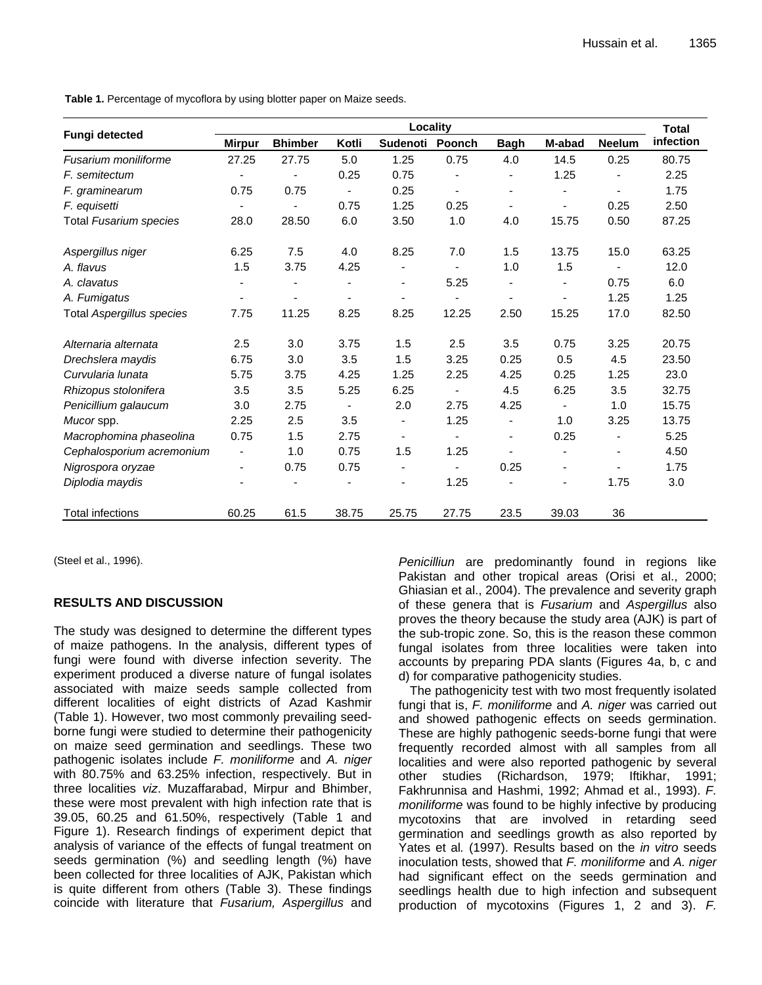Table 1. Percentage of mycoflora by using blotter paper on Maize seeds.

|                                  | <b>Locality</b> |                |                          |                          |                |                          |                          | Total          |                  |
|----------------------------------|-----------------|----------------|--------------------------|--------------------------|----------------|--------------------------|--------------------------|----------------|------------------|
| <b>Fungi detected</b>            | <b>Mirpur</b>   | <b>Bhimber</b> | Kotli                    | Sudenoti                 | Poonch         | <b>Bagh</b>              | M-abad                   | <b>Neelum</b>  | <b>infection</b> |
| Fusarium moniliforme             | 27.25           | 27.75          | 5.0                      | 1.25                     | 0.75           | 4.0                      | 14.5                     | 0.25           | 80.75            |
| F. semitectum                    |                 |                | 0.25                     | 0.75                     |                |                          | 1.25                     |                | 2.25             |
| F. graminearum                   | 0.75            | 0.75           | ÷,                       | 0.25                     |                |                          |                          |                | 1.75             |
| F. equisetti                     |                 |                | 0.75                     | 1.25                     | 0.25           | $\overline{\phantom{a}}$ |                          | 0.25           | 2.50             |
| Total Fusarium species           | 28.0            | 28.50          | 6.0                      | 3.50                     | 1.0            | 4.0                      | 15.75                    | 0.50           | 87.25            |
| Aspergillus niger                | 6.25            | 7.5            | 4.0                      | 8.25                     | 7.0            | 1.5                      | 13.75                    | 15.0           | 63.25            |
| A. flavus                        | 1.5             | 3.75           | 4.25                     | ٠                        |                | 1.0                      | 1.5                      |                | 12.0             |
| A. clavatus                      |                 |                |                          | ٠                        | 5.25           |                          |                          | 0.75           | 6.0              |
| A. Fumigatus                     |                 |                |                          |                          |                | ٠                        |                          | 1.25           | 1.25             |
| <b>Total Aspergillus species</b> | 7.75            | 11.25          | 8.25                     | 8.25                     | 12.25          | 2.50                     | 15.25                    | 17.0           | 82.50            |
| Alternaria alternata             | 2.5             | 3.0            | 3.75                     | 1.5                      | 2.5            | 3.5                      | 0.75                     | 3.25           | 20.75            |
| Drechslera maydis                | 6.75            | 3.0            | 3.5                      | 1.5                      | 3.25           | 0.25                     | 0.5                      | 4.5            | 23.50            |
| Curvularia lunata                | 5.75            | 3.75           | 4.25                     | 1.25                     | 2.25           | 4.25                     | 0.25                     | 1.25           | 23.0             |
| Rhizopus stolonifera             | 3.5             | 3.5            | 5.25                     | 6.25                     |                | 4.5                      | 6.25                     | 3.5            | 32.75            |
| Penicillium galaucum             | 3.0             | 2.75           | $\overline{\phantom{a}}$ | 2.0                      | 2.75           | 4.25                     | $\overline{\phantom{a}}$ | 1.0            | 15.75            |
| Mucor spp.                       | 2.25            | 2.5            | 3.5                      | $\overline{\phantom{a}}$ | 1.25           | ٠                        | 1.0                      | 3.25           | 13.75            |
| Macrophomina phaseolina          | 0.75            | 1.5            | 2.75                     | $\overline{\phantom{a}}$ | $\overline{a}$ | ٠                        | 0.25                     | $\overline{a}$ | 5.25             |
| Cephalosporium acremonium        | -               | 1.0            | 0.75                     | 1.5                      | 1.25           |                          |                          |                | 4.50             |
| Nigrospora oryzae                | -               | 0.75           | 0.75                     | $\overline{\phantom{a}}$ |                | 0.25                     | ۰                        |                | 1.75             |
| Diplodia maydis                  |                 |                |                          | ٠                        | 1.25           |                          |                          | 1.75           | 3.0              |
| <b>Total infections</b>          | 60.25           | 61.5           | 38.75                    | 25.75                    | 27.75          | 23.5                     | 39.03                    | 36             |                  |

(Steel et al., 1996).

## **RESULTS AND DISCUSSION**

The study was designed to determine the different types of maize pathogens. In the analysis, different types of fungi were found with diverse infection severity. The experiment produced a diverse nature of fungal isolates associated with maize seeds sample collected from different localities of eight districts of Azad Kashmir (Table 1). However, two most commonly prevailing seedborne fungi were studied to determine their pathogenicity on maize seed germination and seedlings. These two pathogenic isolates include *F. moniliforme* and *A. niger* with 80.75% and 63.25% infection, respectively. But in three localities *viz*. Muzaffarabad, Mirpur and Bhimber, these were most prevalent with high infection rate that is 39.05, 60.25 and 61.50%, respectively (Table 1 and Figure 1). Research findings of experiment depict that analysis of variance of the effects of fungal treatment on seeds germination (%) and seedling length (%) have been collected for three localities of AJK, Pakistan which is quite different from others (Table 3). These findings coincide with literature that *Fusarium, Aspergillus* and

*Penicilliun* are predominantly found in regions like Pakistan and other tropical areas (Orisi et al., 2000; Ghiasian et al., 2004). The prevalence and severity graph of these genera that is *Fusarium* and *Aspergillus* also proves the theory because the study area (AJK) is part of the sub-tropic zone. So, this is the reason these common fungal isolates from three localities were taken into accounts by preparing PDA slants (Figures 4a, b, c and d) for comparative pathogenicity studies.

The pathogenicity test with two most frequently isolated fungi that is, *F. moniliforme* and *A. niger* was carried out and showed pathogenic effects on seeds germination. These are highly pathogenic seeds-borne fungi that were frequently recorded almost with all samples from all localities and were also reported pathogenic by several other studies (Richardson, 1979; Iftikhar, 1991; Fakhrunnisa and Hashmi, 1992; Ahmad et al., 1993). *F. moniliforme* was found to be highly infective by producing mycotoxins that are involved in retarding seed germination and seedlings growth as also reported by Yates et al*.* (1997). Results based on the *in vitro* seeds inoculation tests, showed that *F. moniliforme* and *A. niger*  had significant effect on the seeds germination and seedlings health due to high infection and subsequent production of mycotoxins (Figures 1, 2 and 3). *F.*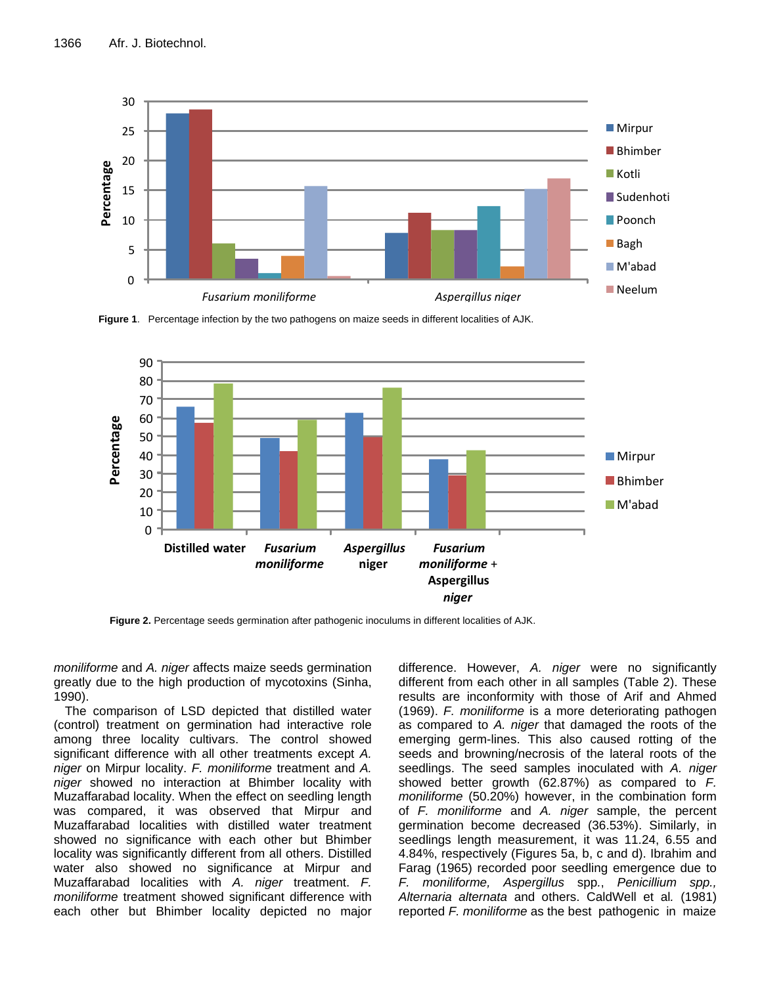

**Figure 1**. Percentage infection by the two pathogens on maize seeds in different localities of AJK.



**Figure 2.** Percentage seeds germination after pathogenic inoculums in different localities of AJK.

*moniliforme* and *A. niger* affects maize seeds germination greatly due to the high production of mycotoxins (Sinha, 1990).

The comparison of LSD depicted that distilled water (control) treatment on germination had interactive role among three locality cultivars. The control showed significant difference with all other treatments except *A. niger* on Mirpur locality. *F. moniliforme* treatment and *A. niger* showed no interaction at Bhimber locality with Muzaffarabad locality. When the effect on seedling length was compared, it was observed that Mirpur and Muzaffarabad localities with distilled water treatment showed no significance with each other but Bhimber locality was significantly different from all others. Distilled water also showed no significance at Mirpur and Muzaffarabad localities with *A. niger* treatment. *F. moniliforme* treatment showed significant difference with each other but Bhimber locality depicted no major difference. However, *A. niger* were no significantly different from each other in all samples (Table 2). These results are inconformity with those of Arif and Ahmed (1969). *F. moniliforme* is a more deteriorating pathogen as compared to *A. niger* that damaged the roots of the emerging germ-lines. This also caused rotting of the seeds and browning/necrosis of the lateral roots of the seedlings. The seed samples inoculated with *A. niger* showed better growth (62.87%) as compared to *F. moniliforme* (50.20%) however, in the combination form of *F. moniliforme* and *A. niger* sample, the percent germination become decreased (36.53%). Similarly, in seedlings length measurement, it was 11.24, 6.55 and 4.84%, respectively (Figures 5a, b, c and d). Ibrahim and Farag (1965) recorded poor seedling emergence due to *F. moniliforme, Aspergillus* spp*.*, *Penicillium spp., Alternaria alternata* and others. CaldWell et al*.* (1981) reported *F. moniliforme* as the best pathogenic in maize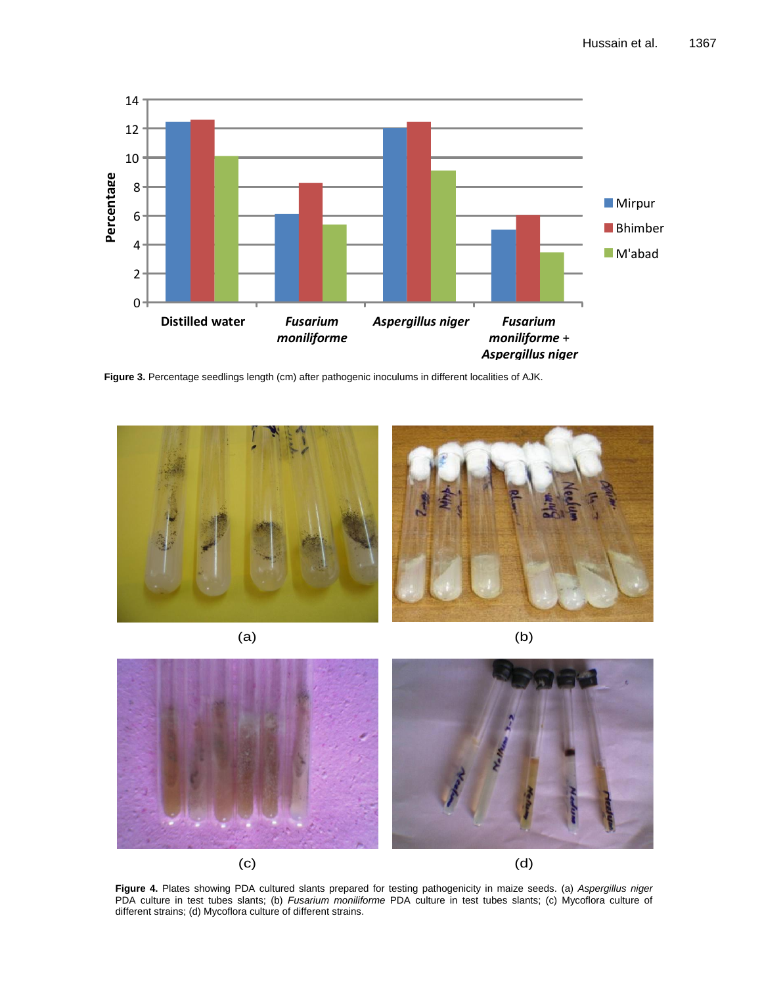

**Figure 3.** Percentage seedlings length (cm) after pathogenic inoculums in different localities of AJK.



 $(a)$  (b)



**Figure 4.** Plates showing PDA cultured slants prepared for testing pathogenicity in maize seeds. (a) *Aspergillus niger*  PDA culture in test tubes slants; (b) *Fusarium moniliforme* PDA culture in test tubes slants; (c) Mycoflora culture of different strains; (d) Mycoflora culture of different strains.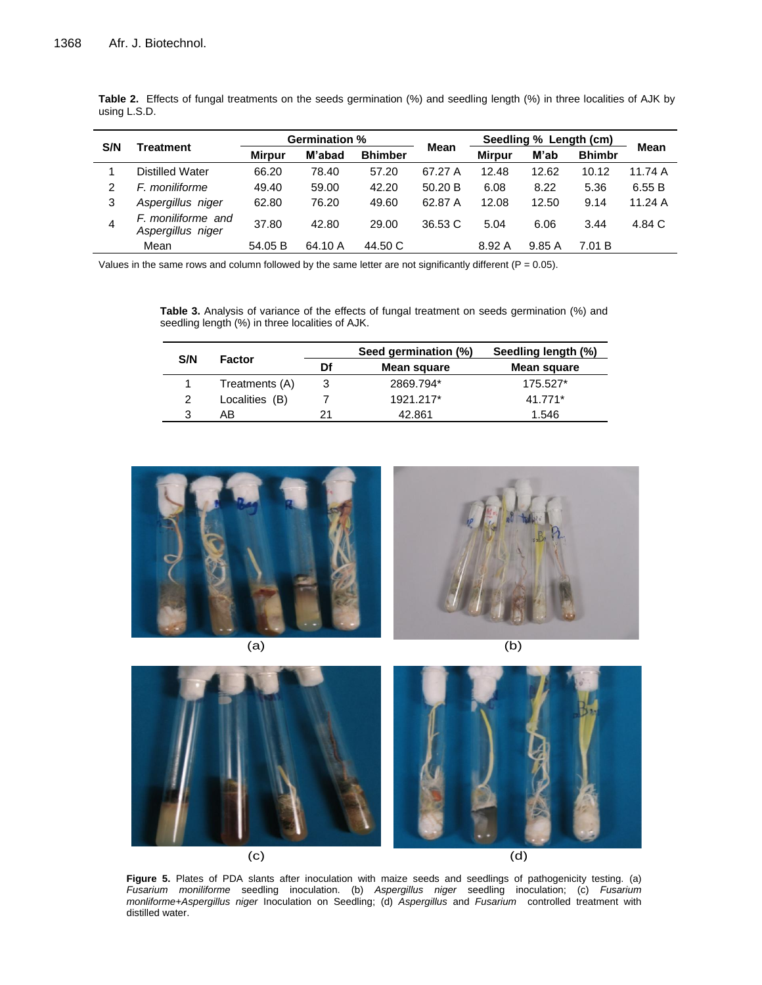| S/N | <b>Treatment</b>                        | <b>Germination %</b> |         |                |             | Seedling % Length (cm) |       |               |             |
|-----|-----------------------------------------|----------------------|---------|----------------|-------------|------------------------|-------|---------------|-------------|
|     |                                         | <b>Mirpur</b>        | M'abad  | <b>Bhimber</b> | <b>Mean</b> | <b>Mirpur</b>          | M'ab  | <b>Bhimbr</b> | <b>Mean</b> |
|     | Distilled Water                         | 66.20                | 78.40   | 57.20          | 67.27 A     | 12.48                  | 12.62 | 10.12         | 11.74 A     |
| 2   | F. moniliforme                          | 49.40                | 59.00   | 42.20          | 50.20 B     | 6.08                   | 8.22  | 5.36          | 6.55 B      |
| 3   | Aspergillus niger                       | 62.80                | 76.20   | 49.60          | 62.87 A     | 12.08                  | 12.50 | 9.14          | 11.24 A     |
| 4   | F. moniliforme and<br>Aspergillus niger | 37.80                | 42.80   | 29.00          | 36.53 C     | 5.04                   | 6.06  | 3.44          | 4.84 C      |
|     | Mean                                    | 54.05 B              | 64.10 A | 44.50 C        |             | 8.92 A                 | 9.85A | 7.01 B        |             |

**Table 2.** Effects of fungal treatments on the seeds germination (%) and seedling length (%) in three localities of AJK by using L.S.D.

Values in the same rows and column followed by the same letter are not significantly different ( $P = 0.05$ ).

**Table 3.** Analysis of variance of the effects of fungal treatment on seeds germination (%) and seedling length (%) in three localities of AJK.

|     |                | Seed germination (%) |             | Seedling length (%) |  |  |
|-----|----------------|----------------------|-------------|---------------------|--|--|
| S/N | <b>Factor</b>  | Df                   | Mean square | Mean square         |  |  |
|     | Treatments (A) |                      | 2869.794*   | 175.527*            |  |  |
| 2   | Localities (B) |                      | 1921.217*   | 41.771*             |  |  |
| 3   | AB             | 21                   | 42.861      | 1.546               |  |  |



 $\qquad \qquad \textbf{(c)}\tag{d}$ 

**Figure 5.** Plates of PDA slants after inoculation with maize seeds and seedlings of pathogenicity testing. (a) *Fusarium moniliforme* seedling inoculation. (b) *Aspergillus niger* seedling inoculation; (c) *Fusarium monliforme+Aspergillus niger* Inoculation on Seedling; (d) *Aspergillus* and *Fusarium* controlled treatment with distilled water.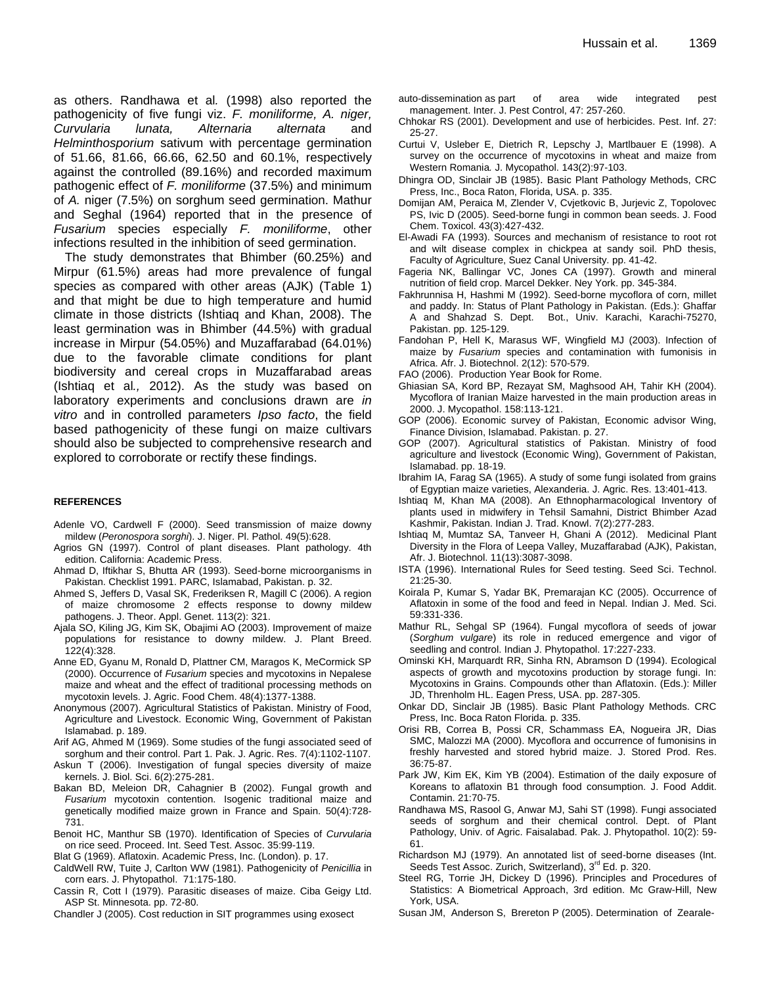as others. Randhawa et al*.* (1998) also reported the pathogenicity of five fungi viz. *F. moniliforme, A. niger, Curvularia lunata, Alternaria alternata* and *Helminthosporium* sativum with percentage germination of 51.66, 81.66, 66.66, 62.50 and 60.1%, respectively against the controlled (89.16%) and recorded maximum pathogenic effect of *F. moniliforme* (37.5%) and minimum of *A.* niger (7.5%) on sorghum seed germination. Mathur and Seghal (1964) reported that in the presence of *Fusarium* species especially *F. moniliforme*, other infections resulted in the inhibition of seed germination.

The study demonstrates that Bhimber (60.25%) and Mirpur (61.5%) areas had more prevalence of fungal species as compared with other areas (AJK) (Table 1) and that might be due to high temperature and humid climate in those districts (Ishtiaq and Khan, 2008). The least germination was in Bhimber (44.5%) with gradual increase in Mirpur (54.05%) and Muzaffarabad (64.01%) due to the favorable climate conditions for plant biodiversity and cereal crops in Muzaffarabad areas (Ishtiaq et al*.,* 2012). As the study was based on laboratory experiments and conclusions drawn are *in vitro* and in controlled parameters *Ipso facto*, the field based pathogenicity of these fungi on maize cultivars should also be subjected to comprehensive research and explored to corroborate or rectify these findings.

#### **REFERENCES**

- Adenle VO, Cardwell F (2000). Seed transmission of maize downy mildew (*Peronospora sorghi*). J. Niger. Pl. Pathol. 49(5):628.
- Agrios GN (1997). Control of plant diseases. Plant pathology. 4th edition. California: Academic Press.
- Ahmad D, Iftikhar S, Bhutta AR (1993). Seed-borne microorganisms in Pakistan. Checklist 1991. PARC, Islamabad, Pakistan. p. 32.
- Ahmed S, Jeffers D, Vasal SK, Frederiksen R, Magill C (2006). A region of maize chromosome 2 effects response to downy mildew pathogens. J. Theor. Appl. Genet. 113(2): 321.
- Ajala SO, Kiling JG, Kim SK, Obajimi AO (2003). Improvement of maize populations for resistance to downy mildew. J. Plant Breed. 122(4):328.
- Anne ED, Gyanu M, Ronald D, Plattner CM, Maragos K, MeCormick SP (2000). Occurrence of *Fusarium* species and mycotoxins in Nepalese maize and wheat and the effect of traditional processing methods on mycotoxin levels. J. Agric. Food Chem. 48(4):1377-1388.
- Anonymous (2007). Agricultural Statistics of Pakistan. Ministry of Food, Agriculture and Livestock. Economic Wing, Government of Pakistan Islamabad. p. 189.
- Arif AG, Ahmed M (1969). Some studies of the fungi associated seed of sorghum and their control. Part 1. Pak. J. Agric. Res. 7(4):1102-1107.
- Askun T (2006). Investigation of fungal species diversity of maize kernels. J. Biol. Sci. 6(2):275-281.
- Bakan BD, Meleion DR, Cahagnier B (2002). Fungal growth and *Fusarium* mycotoxin contention. Isogenic traditional maize and genetically modified maize grown in France and Spain. 50(4):728- 731.
- Benoit HC, Manthur SB (1970). Identification of Species of *Curvularia* on rice seed. Proceed. Int. Seed Test. Assoc. 35:99-119.
- Blat G (1969). Aflatoxin. Academic Press, Inc. (London). p. 17.
- CaldWell RW, Tuite J, Carlton WW (1981). Pathogenicity of *Penicillia* in corn ears. J. Phytopathol. 71:175-180.
- Cassin R, Cott I (1979). Parasitic diseases of maize. Ciba Geigy Ltd. ASP St. Minnesota. pp. 72-80.
- Chandler J (2005). Cost reduction in SIT programmes using exosect
- auto-dissemination as part of area wide integrated pest management. Inter. J. Pest Control, 47: 257-260.
- Chhokar RS (2001). Development and use of herbicides. Pest. Inf. 27: 25-27.
- Curtui V, Usleber E, Dietrich R, Lepschy J, Martlbauer E (1998). A survey on the occurrence of mycotoxins in wheat and maize from Western Romania*.* J. Mycopathol. 143(2):97-103.
- Dhingra OD, Sinclair JB (1985). Basic Plant Pathology Methods, CRC Press, Inc., Boca Raton, Florida, USA. p. 335.
- Domijan AM, Peraica M, Zlender V, Cvjetkovic B, Jurjevic Z, Topolovec PS, Ivic D (2005). Seed-borne fungi in common bean seeds. J. Food Chem. Toxicol. 43(3):427-432.
- El-Awadi FA (1993). Sources and mechanism of resistance to root rot and wilt disease complex in chickpea at sandy soil. PhD thesis, Faculty of Agriculture, Suez Canal University. pp. 41-42.
- Fageria NK, Ballingar VC, Jones CA (1997). Growth and mineral nutrition of field crop. Marcel Dekker. Ney York. pp. 345-384.
- Fakhrunnisa H, Hashmi M (1992). Seed-borne mycoflora of corn, millet and paddy. In: Status of Plant Pathology in Pakistan. (Eds.): Ghaffar A and Shahzad S. Dept. Bot., Univ. Karachi, Karachi-75270, Pakistan. pp. 125-129.
- Fandohan P, Hell K, Marasus WF, Wingfield MJ (2003). Infection of maize by *Fusarium* species and contamination with fumonisis in Africa. Afr. J. Biotechnol. 2(12): 570-579.
- FAO (2006). Production Year Book for Rome.
- Ghiasian SA, Kord BP, Rezayat SM, Maghsood AH, Tahir KH (2004). Mycoflora of Iranian Maize harvested in the main production areas in 2000. J. Mycopathol. 158:113-121.
- GOP (2006). Economic survey of Pakistan, Economic advisor Wing, Finance Division, Islamabad. Pakistan. p. 27.
- GOP (2007). Agricultural statistics of Pakistan. Ministry of food agriculture and livestock (Economic Wing), Government of Pakistan, Islamabad. pp. 18-19.
- Ibrahim IA, Farag SA (1965). A study of some fungi isolated from grains of Egyptian maize varieties, Alexanderia. J. Agric. Res. 13:401-413.
- Ishtiaq M, Khan MA (2008). An Ethnopharmacological Inventory of plants used in midwifery in Tehsil Samahni, District Bhimber Azad Kashmir, Pakistan. Indian J. Trad. Knowl. 7(2):277-283.
- Ishtiaq M, Mumtaz SA, Tanveer H, Ghani A (2012). Medicinal Plant Diversity in the Flora of Leepa Valley, Muzaffarabad (AJK), Pakistan, Afr. J. Biotechnol. 11(13):3087-3098.
- ISTA (1996). International Rules for Seed testing. Seed Sci. Technol. 21:25-30.
- Koirala P, Kumar S, Yadar BK, Premarajan KC (2005). Occurrence of Aflatoxin in some of the food and feed in Nepal. Indian J. Med. Sci. 59:331-336.
- Mathur RL, Sehgal SP (1964). Fungal mycoflora of seeds of jowar (*Sorghum vulgare*) its role in reduced emergence and vigor of seedling and control. Indian J. Phytopathol. 17:227-233.
- Ominski KH, Marquardt RR, Sinha RN, Abramson D (1994). Ecological aspects of growth and mycotoxins production by storage fungi. In: Mycotoxins in Grains. Compounds other than Aflatoxin. (Eds.): Miller JD, Threnholm HL. Eagen Press, USA. pp. 287-305.
- Onkar DD, Sinclair JB (1985). Basic Plant Pathology Methods. CRC Press, Inc. Boca Raton Florida. p. 335.
- Orisi RB, Correa B, Possi CR, Schammass EA, Nogueira JR, Dias SMC, Malozzi MA (2000). Mycoflora and occurrence of fumonisins in freshly harvested and stored hybrid maize. J. Stored Prod. Res. 36:75-87.
- Park JW, Kim EK, Kim YB (2004). Estimation of the daily exposure of Koreans to aflatoxin B1 through food consumption. J. Food Addit. Contamin. 21:70-75.
- Randhawa MS, Rasool G, Anwar MJ, Sahi ST (1998). Fungi associated seeds of sorghum and their chemical control. Dept. of Plant Pathology, Univ. of Agric. Faisalabad. Pak. J. Phytopathol. 10(2): 59- 61.
- Richardson MJ (1979). An annotated list of seed-borne diseases (Int. Seeds Test Assoc. Zurich, Switzerland), 3<sup>rd</sup> Ed. p. 320.
- Steel RG, Torrie JH, Dickey D (1996). Principles and Procedures of Statistics: A Biometrical Approach, 3rd edition. Mc Graw-Hill, New York, USA.
- Susan JM, Anderson S, Brereton P (2005). Determination of Zearale-